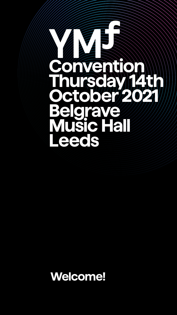

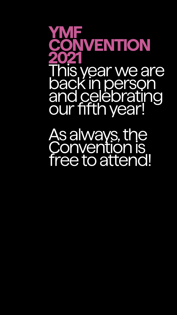# **YMF CONVENTION 2021** This year we are back in person and celebrating our fifth year!

As always, the Convention is

# free to attend!

- 
- 
- 
- 
- -
-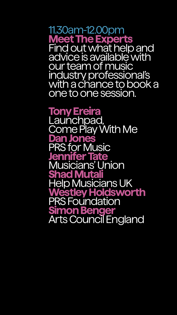11.30am-12.00pm **Meet The Experts** Find out what help and advice is available with our team of music industry professional's with a chance to book a one to one session.

**Tony Ereira** Launchpad, Come Play With Me **Dan Jones** PRS for Music **Jennifer Tate** Musicians' Union **Shad Mutali** Help Musicians UK **Westley Holdsworth** PRS Foundation **Simon Benger** Arts Council England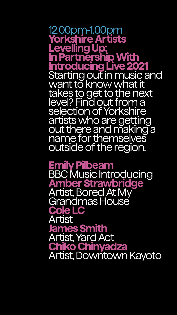12.00pm-1.00pm **Yorkshire Artists Levelling Up: In Partnership With Introducing Live 2021**  Starting out in music and want to know what it takes to get to the next level? Find out from a selection of Yorkshire artists who are getting out there and making a name for themselves outside of the region.

**Emily Pilbeam** BBC Music Introducing **Amber Strawbridge** Artist, Bored At My Grandmas House **Cole LC** Artist **James Smith** Artist, Yard Act **Chiko Chinyadza** Artist, Downtown Kayoto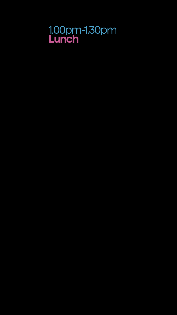#### 1.00pm-1.30pm **Lunch**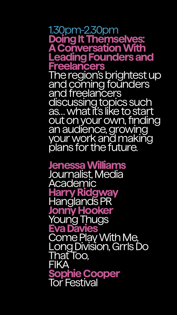1.30pm-2.30pm **Doing It Themselves: A Conversation With Leading Founders and Freelancers** The region's brightest up and coming founders and freelancers discussing topics such as… what it's like to start out on your own, finding an audience, growing your work and making plans for the future.

**Jenessa Williams** Journalist, Media Academic **Harry Ridgway** Hanglands PR **Jonny Hooker** Young Thugs **Eva Davies** Come Play With Me, Long Division, Grrls Do That Too, FIKA **Sophie Cooper** Tor Festival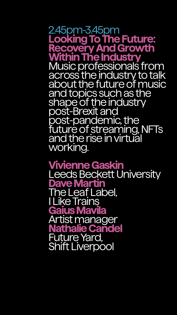2.45pm-3.45pm **Looking To The Future: Recovery And Growth Within The Industry** Music professionals from across the industry to talk about the future of music and topics such as the shape of the industry post-Brexit and post-pandemic, the future of streaming, NFTs and the rise in virtual

### working.

**Vivienne Gaskin** Leeds Beckett University **Dave Martin** The Leaf Label, I Like Trains **Gaius Mavila** Artist manager **Nathalie Candel** Future Yard, Shift Liverpool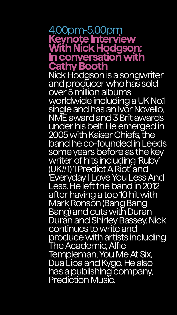#### 4.00pm-5.00pm **Keynote Interview With Nick Hodgson: In conversation with Cathy Booth** Nick Hodgson is a songwriter and producer who has sold over 5 million albums worldwide including a UK No.1 single and has an Ivor Novello, NME award and 3 Brit awards under his belt. He emerged in

2005 with Kaiser Chiefs, the band he co-founded in Leeds some years before as the key writer of hits including 'Ruby' (UK#1) 'I Predict A Riot' and 'Everyday I Love You Less And Less'. He left the band in 2012 after having a top 10 hit with Mark Ronson (Bang Bang Bang) and cuts with Duran Duran and Shirley Bassey. Nick continues to write and produce with artists including The Academic, Alfie Templeman, You Me At Six, Dua Lipa and Kygo. He also has a publishing company, Prediction Music.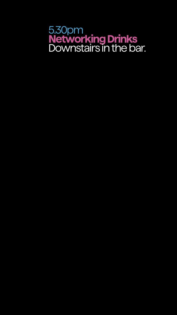#### 5.30pm **Networking Drinks** Downstairs in the bar.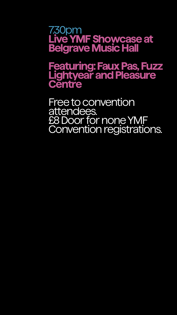#### 7.30pm **Live YMF Showcase at Belgrave Music Hall**

## **Featuring: Faux Pas, Fuzz Lightyear and Pleasure Centre**

Free to convention attendees. £8 Door for none YMF Convention registrations.